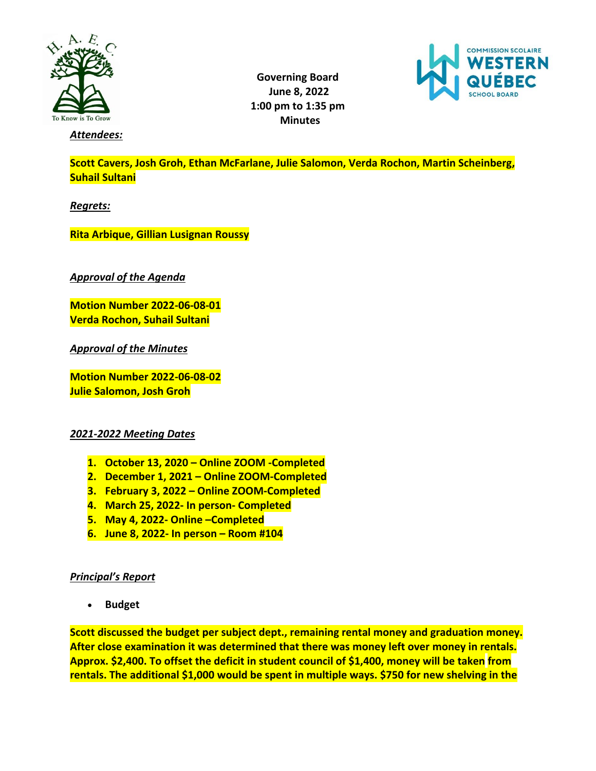

**Governing Board June 8, 2022 1:00 pm to 1:35 pm Minutes**



*Attendees:* 

**Scott Cavers, Josh Groh, Ethan McFarlane, Julie Salomon, Verda Rochon, Martin Scheinberg, Suhail Sultani**

*Regrets:* 

**Rita Arbique, Gillian Lusignan Roussy**

*Approval of the Agenda*

**Motion Number 2022-06-08-01 Verda Rochon, Suhail Sultani**

*Approval of the Minutes*

**Motion Number 2022-06-08-02 Julie Salomon, Josh Groh**

## *2021-2022 Meeting Dates*

- **1. October 13, 2020 – Online ZOOM -Completed**
- **2. December 1, 2021 – Online ZOOM-Completed**
- **3. February 3, 2022 – Online ZOOM-Completed**
- **4. March 25, 2022- In person- Completed**
- **5. May 4, 2022- Online –Completed**
- **6. June 8, 2022- In person – Room #104**

## *Principal's Report*

• **Budget**

**Scott discussed the budget per subject dept., remaining rental money and graduation money. After close examination it was determined that there was money left over money in rentals. Approx. \$2,400. To offset the deficit in student council of \$1,400, money will be taken from rentals. The additional \$1,000 would be spent in multiple ways. \$750 for new shelving in the**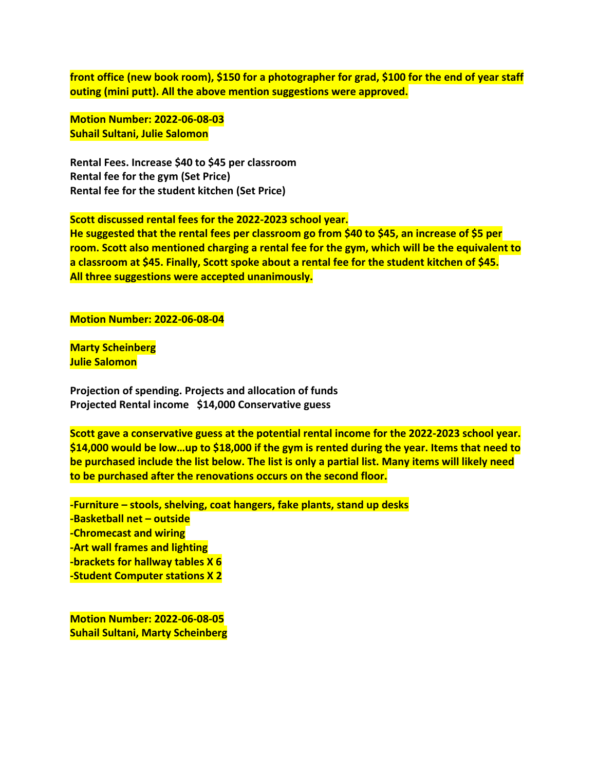**front office (new book room), \$150 for a photographer for grad, \$100 for the end of year staff outing (mini putt). All the above mention suggestions were approved.**

**Motion Number: 2022-06-08-03 Suhail Sultani, Julie Salomon**

**Rental Fees. Increase \$40 to \$45 per classroom Rental fee for the gym (Set Price) Rental fee for the student kitchen (Set Price)**

**Scott discussed rental fees for the 2022-2023 school year.** 

**He suggested that the rental fees per classroom go from \$40 to \$45, an increase of \$5 per room. Scott also mentioned charging a rental fee for the gym, which will be the equivalent to a classroom at \$45. Finally, Scott spoke about a rental fee for the student kitchen of \$45. All three suggestions were accepted unanimously.**

**Motion Number: 2022-06-08-04**

**Marty Scheinberg Julie Salomon**

**Projection of spending. Projects and allocation of funds Projected Rental income \$14,000 Conservative guess**

**Scott gave a conservative guess at the potential rental income for the 2022-2023 school year. \$14,000 would be low…up to \$18,000 if the gym is rented during the year. Items that need to be purchased include the list below. The list is only a partial list. Many items will likely need to be purchased after the renovations occurs on the second floor.**

**-Furniture – stools, shelving, coat hangers, fake plants, stand up desks -Basketball net – outside -Chromecast and wiring -Art wall frames and lighting -brackets for hallway tables X 6 -Student Computer stations X 2**

**Motion Number: 2022-06-08-05 Suhail Sultani, Marty Scheinberg**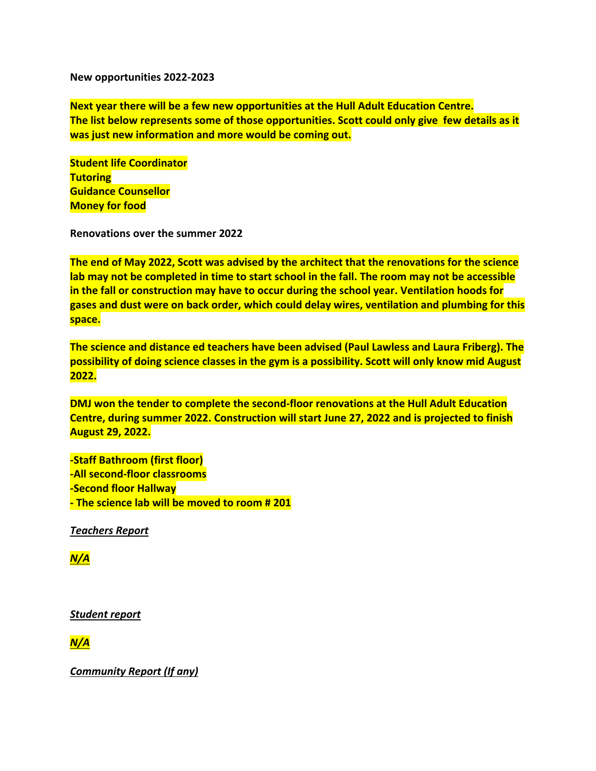**New opportunities 2022-2023**

**Next year there will be a few new opportunities at the Hull Adult Education Centre. The list below represents some of those opportunities. Scott could only give few details as it was just new information and more would be coming out.**

**Student life Coordinator Tutoring Guidance Counsellor Money for food**

**Renovations over the summer 2022**

**The end of May 2022, Scott was advised by the architect that the renovations for the science lab may not be completed in time to start school in the fall. The room may not be accessible in the fall or construction may have to occur during the school year. Ventilation hoods for gases and dust were on back order, which could delay wires, ventilation and plumbing for this space.** 

**The science and distance ed teachers have been advised (Paul Lawless and Laura Friberg). The possibility of doing science classes in the gym is a possibility. Scott will only know mid August 2022.** 

**DMJ won the tender to complete the second-floor renovations at the Hull Adult Education Centre, during summer 2022. Construction will start June 27, 2022 and is projected to finish August 29, 2022.**

**-Staff Bathroom (first floor) -All second-floor classrooms -Second floor Hallway - The science lab will be moved to room # 201**

*Teachers Report*

*N/A*

*Student report*

*N/A*

*Community Report (If any)*